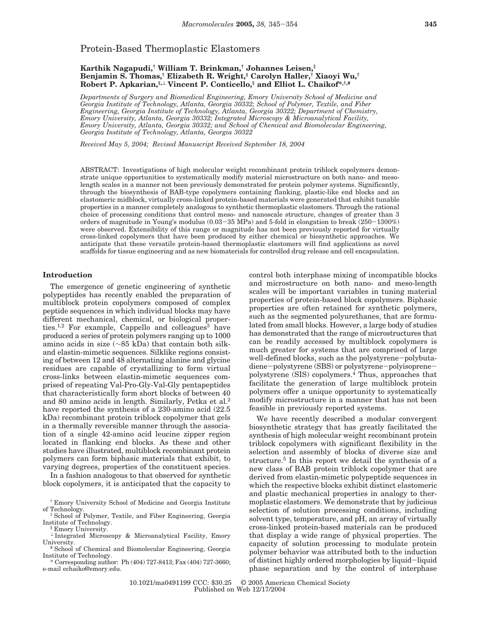# Protein-Based Thermoplastic Elastomers

### **Karthik Nagapudi,† William T. Brinkman,† Johannes Leisen,‡ Benjamin S. Thomas,† Elizabeth R. Wright,§ Carolyn Haller,† Xiaoyi Wu,† Robert P. Apkarian,§,**<sup>⊥</sup> **Vincent P. Conticello,§ and Elliot L. Chaikof\*,†,#**

*Departments of Surgery and Biomedical Engineering, Emory University School of Medicine and Georgia Institute of Technology, Atlanta, Georgia 30332; School of Polymer, Textile, and Fiber Engineering, Georgia Institute of Technology, Atlanta, Georgia 30322; Department of Chemistry, Emory University, Atlanta, Georgia 30332; Integrated Microscopy & Microanalytical Facility, Emory University, Atlanta, Georgia 30332; and School of Chemical and Biomolecular Engineering, Georgia Institute of Technology, Atlanta, Georgia 30322*

*Received May 5, 2004; Revised Manuscript Received September 18, 2004*

ABSTRACT: Investigations of high molecular weight recombinant protein triblock copolymers demonstrate unique opportunities to systematically modify material microstructure on both nano- and mesolength scales in a manner not been previously demonstrated for protein polymer systems. Significantly, through the biosynthesis of BAB-type copolymers containing flanking, plastic-like end blocks and an elastomeric midblock, virtually cross-linked protein-based materials were generated that exhibit tunable properties in a manner completely analogous to synthetic thermoplastic elastomers. Through the rational choice of processing conditions that control meso- and nanoscale structure, changes of greater than 3 orders of magnitude in Young's modulus (0.03-35 MPa) and 5-fold in elongation to break (250-1300%) were observed. Extensibility of this range or magnitude has not been previously reported for virtually cross-linked copolymers that have been produced by either chemical or biosynthetic approaches. We anticipate that these versatile protein-based thermoplastic elastomers will find applications as novel scaffolds for tissue engineering and as new biomaterials for controlled drug release and cell encapsulation.

### **Introduction**

The emergence of genetic engineering of synthetic polypeptides has recently enabled the preparation of multiblock protein copolymers composed of complex peptide sequences in which individual blocks may have different mechanical, chemical, or biological properties.<sup>1,2</sup> For example, Cappello and colleagues<sup>3</sup> have produced a series of protein polymers ranging up to 1000 amino acids in size (∼85 kDa) that contain both silkand elastin-mimetic sequences. Silklike regions consisting of between 12 and 48 alternating alanine and glycine residues are capable of crystallizing to form virtual cross-links between elastin-mimetic sequences comprised of repeating Val-Pro-Gly-Val-Gly pentapeptides that characteristically form short blocks of between 40 and 80 amino acids in length. Similarly, Petka et al.2 have reported the synthesis of a 230-amino acid (22.5 kDa) recombinant protein triblock copolymer that gels in a thermally reversible manner through the association of a single 42-amino acid leucine zipper region located in flanking end blocks. As these and other studies have illustrated, multiblock recombinant protein polymers can form biphasic materials that exhibit, to varying degrees, properties of the constituent species.

In a fashion analogous to that observed for synthetic block copolymers, it is anticipated that the capacity to

† Emory University School of Medicine and Georgia Institute of Technology. ‡ School of Polymer, Textile, and Fiber Engineering, Georgia

Institute of Technology. § Emory University.

 $\perp$  Integrated Microscopy & Microanalytical Facility, Emory University.

<sup>#</sup> School of Chemical and Biomolecular Engineering, Georgia Institute of Technology.

\* Corresponding author: Ph (404) 727-8413; Fax (404) 727-3660; e-mail echaiko@emory.edu.

control both interphase mixing of incompatible blocks and microstructure on both nano- and meso-length scales will be important variables in tuning material properties of protein-based block copolymers. Biphasic properties are often retained for synthetic polymers, such as the segmented polyurethanes, that are formulated from small blocks. However, a large body of studies has demonstrated that the range of microstructures that can be readily accessed by multiblock copolymers is much greater for systems that are comprised of large well-defined blocks, such as the polystyrene-polybutadiene-polystyrene (SBS) or polystyrene-polyisoprenepolystyrene (SIS) copolymers.4 Thus, approaches that facilitate the generation of large multiblock protein polymers offer a unique opportunity to systematically modify microstructure in a manner that has not been feasible in previously reported systems.

We have recently described a modular convergent biosynthetic strategy that has greatly facilitated the synthesis of high molecular weight recombinant protein triblock copolymers with significant flexibility in the selection and assembly of blocks of diverse size and structure.<sup>5</sup> In this report we detail the synthesis of a new class of BAB protein triblock copolymer that are derived from elastin-mimetic polypeptide sequences in which the respective blocks exhibit distinct elastomeric and plastic mechanical properties in analogy to thermoplastic elastomers. We demonstrate that by judicious selection of solution processing conditions, including solvent type, temperature, and pH, an array of virtually cross-linked protein-based materials can be produced that display a wide range of physical properties. The capacity of solution processing to modulate protein polymer behavior was attributed both to the induction of distinct highly ordered morphologies by liquid-liquid phase separation and by the control of interphase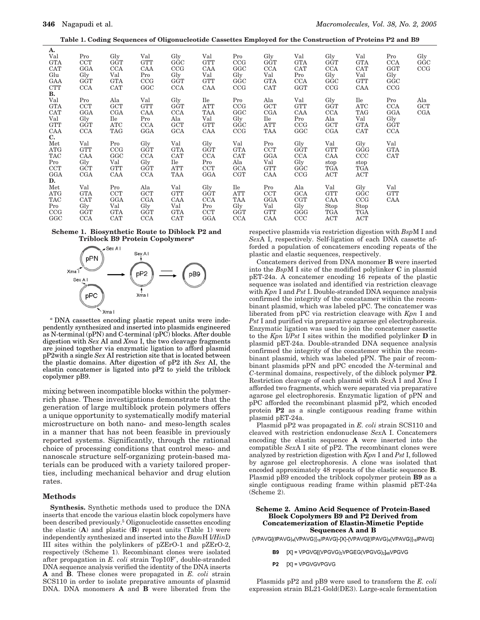**Table 1. Coding Sequences of Oligonucleotide Cassettes Employed for the Construction of Proteins P2 and B9**

| A.<br>Val<br><b>GTA</b><br><b>CAT</b><br>Glu<br>GAA<br><b>CTT</b>         | Pro<br><b>CCT</b><br>GGA<br>Gly<br><b>GGT</b><br><b>CCA</b>        | Gly<br><b>GGT</b><br><b>CCA</b><br>Val<br><b>GTA</b><br>CAT | Val<br><b>GTT</b><br>CAA<br>Pro<br>CCG<br>GGC               | Gly<br>GGC<br>CCG<br>Gly<br><b>GGT</b><br><b>CCA</b>        | Val<br><b>GTT</b><br>CAA<br>Val<br><b>GTT</b><br>CAA | Pro<br>CCG<br>GGC<br>Gly<br>GGC<br>CCG               | Gly<br><b>GGT</b><br><b>CCA</b><br>Val<br><b>GTA</b><br>CAT | Val<br><b>GTA</b><br><b>CAT</b><br>Pro<br><b>CCA</b><br>GGT | Gly<br>GGT<br><b>CCA</b><br>Gly<br>GGC<br>CCG         | Val<br><b>GTA</b><br><b>CAT</b><br>Val<br><b>GTT</b><br>CAA        | Pro<br><b>CCA</b><br><b>GGT</b><br>Gly<br>GGC<br>CCG        | Gly<br>GGC<br>CCG        |
|---------------------------------------------------------------------------|--------------------------------------------------------------------|-------------------------------------------------------------|-------------------------------------------------------------|-------------------------------------------------------------|------------------------------------------------------|------------------------------------------------------|-------------------------------------------------------------|-------------------------------------------------------------|-------------------------------------------------------|--------------------------------------------------------------------|-------------------------------------------------------------|--------------------------|
| В.<br>Val<br><b>GTA</b><br><b>CAT</b><br>Val<br><b>GTT</b><br>CAA<br>C.   | Pro<br>CCT<br>GGA<br>Gly<br><b>GGT</b><br><b>CCA</b>               | Ala<br><b>GCT</b><br><b>CGA</b><br>Ile<br>ATC<br><b>TAG</b> | Val<br><b>GTT</b><br>CAA<br>Pro<br><b>CCA</b><br><b>GGA</b> | Gly<br><b>GGT</b><br><b>CCA</b><br>Ala<br>GCT<br><b>GCA</b> | Ile<br>ATT<br><b>TAA</b><br>Val<br><b>GTT</b><br>CAA | Pro<br>CCG<br>GGC<br>Gly<br>GGC<br>CCG               | Ala<br><b>GCT</b><br>CGA<br>Ile<br><b>ATT</b><br><b>TAA</b> | Val<br><b>GTT</b><br>CAA<br>Pro<br>CCG<br>GGC               | Gly<br><b>GGT</b><br><b>CCA</b><br>Ala<br>GCT<br>CGA  | Ile<br><b>ATC</b><br><b>TAG</b><br>Val<br><b>GTA</b><br><b>CAT</b> | Pro<br><b>CCA</b><br>GGA<br>Gly<br><b>GGT</b><br><b>CCA</b> | Ala<br><b>GCT</b><br>CGA |
| ${\rm Met}$<br><b>ATG</b><br><b>TAC</b><br>Pro<br><b>CCT</b><br>GGA<br>D. | Val<br><b>GTT</b><br>CAA<br>Gly<br>GČT<br>CGA                      | Pro<br>CCG<br>GGC<br>Val<br><b>GTT</b><br>CAA               | Gly<br><b>GGT</b><br><b>CCA</b><br>Gly<br>GĞT<br><b>CCA</b> | Val<br><b>GTA</b><br><b>CAT</b><br>Ile<br>ATT<br>TAA        | Gly<br><b>GGT</b><br><b>CCA</b><br>Pro<br>CCT<br>GGA | Val<br><b>GTA</b><br><b>CAT</b><br>Ala<br>GCA<br>CGT | Pro<br><b>CCT</b><br>GGA<br>Val<br><b>GTT</b><br>CAA        | Gly<br>GGT<br><b>CCA</b><br>Gly<br>GGC<br>CCG               | Val<br><b>GTT</b><br>CAA<br>stop<br>TGA<br>ACT        | Gly<br>GGG<br>CCC<br>stop<br>TGA<br><b>ACT</b>                     | Val<br><b>GTA</b><br><b>CAT</b>                             |                          |
| ${\rm Met}$<br><b>ATG</b><br><b>TAC</b><br>Pro<br>CCG<br>GGC              | Val<br><b>GTA</b><br><b>CAT</b><br>Gly<br><b>GGT</b><br><b>CCA</b> | Pro<br><b>CCT</b><br>GGA<br>Val<br><b>GTA</b><br><b>CAT</b> | Ala<br><b>GCT</b><br>CGA<br>Gly<br><b>GGT</b><br><b>CCA</b> | Val<br><b>GTT</b><br>CAA<br>Val<br><b>GTA</b><br>CAT        | Gly<br><b>GGT</b><br><b>CCA</b><br>Pro<br>CCT<br>GGA | Ile<br><b>ATT</b><br>TAA<br>Gly<br>GGT<br><b>CCA</b> | Pro<br><b>CCT</b><br>GGA<br>Val<br><b>GTT</b><br>CAA        | Ala<br><b>GCA</b><br>CGT<br>Gly<br>GGG<br>CCC               | Val<br><b>GTT</b><br>CAA<br>Stop<br>TGA<br><b>ACT</b> | Gly<br>GGC<br>CCG<br>Stop<br><b>TGA</b><br><b>ACT</b>              | Val<br><b>GTT</b><br>CAA                                    |                          |





*<sup>a</sup>* DNA cassettes encoding plastic repeat units were independently synthesized and inserted into plasmids engineered as N-terminal (pPN) and C-terminal (pPC) blocks. After double digestion with *Sex* AI and *Xma* I, the two cleavage fragments are joined together via enzymatic ligation to afford plasmid pP2with a single *Sex* AI restriction site that is located between the plastic domains. After digestion of pP2 ith *Sex* AI, the elastin concatemer is ligated into pP2 to yield the triblock copolymer pB9.

mixing between incompatible blocks within the polymerrich phase. These investigations demonstrate that the generation of large multiblock protein polymers offers a unique opportunity to systematically modify material microstructure on both nano- and meso-length scales in a manner that has not been feasible in previously reported systems. Significantly, through the rational choice of processing conditions that control meso- and nanoscale structure self-organizing protein-based materials can be produced with a variety tailored properties, including mechanical behavior and drug elution rates.

#### **Methods**

**Synthesis.** Synthetic methods used to produce the DNA inserts that encode the various elastin block copolymers have been described previously.5 Oligonucleotide cassettes encoding the elastic (**A**) and plastic (**B**) repeat units (Table 1) were independently synthesized and inserted into the *Bam*H I/*Hin*D III sites within the polylinkers of pZErO-1 and pZErO-2, respectively (Scheme 1). Recombinant clones were isolated after propagation in *E. coli* strain Top10F′, double-stranded DNA sequence analysis verified the identity of the DNA inserts **A** and **B**. These clones were propagated in *E. coli* strain SCS110 in order to isolate preparative amounts of plasmid DNA. DNA monomers **A** and **B** were liberated from the

respective plasmids via restriction digestion with *Bsp*M I and *Sex*A I, respectively. Self-ligation of each DNA cassette afforded a population of concatemers encoding repeats of the plastic and elastic sequences, respectively.

Concatemers derived from DNA monomer **B** were inserted into the *Bsp*M I site of the modified polylinker **C** in plasmid pET-24a. A concatemer encoding 16 repeats of the plastic sequence was isolated and identified via restriction cleavage with *Kpn* I and *Pst* I. Double-stranded DNA sequence analysis confirmed the integrity of the concatamer within the recombinant plasmid, which was labeled pPC. The concatemer was liberated from pPC via restriction cleavage with *Kpn* I and *Pst* I and purified via preparative agarose gel electrophoresis. Enzymatic ligation was used to join the concatemer cassette to the *Kpn* I/*Pst* I sites within the modified polylinker **D** in plasmid pET-24a. Double-stranded DNA sequence analysis confirmed the integrity of the concatemer within the recombinant plasmid, which was labeled pPN. The pair of recombinant plasmids pPN and pPC encoded the *N*-terminal and *C*-terminal domains, respectively, of the diblock polymer **P2**. Restriction cleavage of each plasmid with *Sex*A I and *Xma* I afforded two fragments, which were separated via preparative agarose gel electrophoresis. Enzymatic ligation of pPN and pPC afforded the recombinant plasmid pP2, which encoded protein **P2** as a single contiguous reading frame within plasmid pET-24a.

Plasmid pP2 was propagated in *E. coli* strain SCS110 and cleaved with restriction endonuclease *Sex*A I. Concatemers encoding the elastin sequence **A** were inserted into the compatible *Sex*A I site of pP2. The recombinant clones were analyzed by restriction digestion with *Kpn* I and *Pst* I, followed by agarose gel electrophoresis. A clone was isolated that encoded approximately 48 repeats of the elastic sequence **B**. Plasmid pB9 encoded the triblock copolymer protein **B9** as a single contiguous reading frame within plasmid pET-24a (Scheme 2).

#### **Scheme 2. Amino Acid Sequence of Protein-Based Block Copolymers B9 and P2 Derived from Concatemerization of Elastin-Mimetic Peptide Sequences A and B**

{VPAVG[(IPAVG)<sub>4</sub>(VPAVG)]<sub>16</sub>|PAVG}-[X]-{VPAVG[(IPAVG)<sub>4</sub>(VPAVG)]<sub>16</sub>|PAVG}

- B9 [X] = VPGVG[(VPGVG)2VPGEG(VPGVG)2]48VPGVG
- P<sub>2</sub>  $[X]$  = VPGVGVPGVG

Plasmids pP2 and pB9 were used to transform the *E. coli* expression strain BL21-Gold(DE3). Large-scale fermentation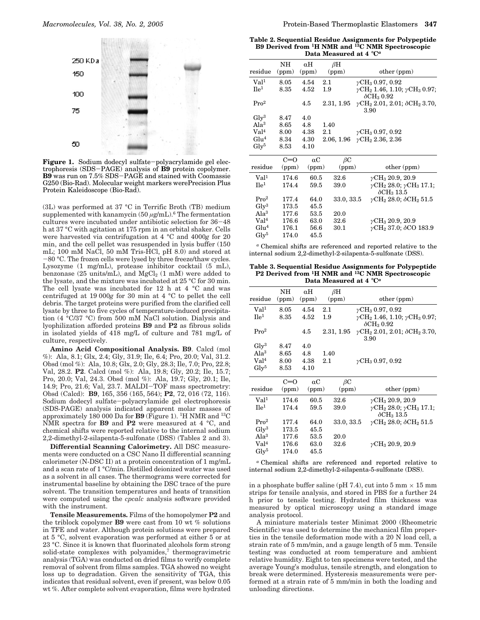

**Figure 1.** Sodium dodecyl sulfate-polyacrylamide gel electrophoresis (SDS-PAGE) analysis of **B9** protein copolymer. **B9** was run on 7.5% SDS-PAGE and stained with Coomassie G250 (Bio-Rad). Molecular weight markers werePrecision Plus Protein Kaleidoscope (Bio-Rad).

(3L) was performed at 37 °C in Terrific Broth (TB) medium supplemented with kanamycin (50 *µ*g/mL).6 The fermentation cultures were incubated under antibiotic selection for 36-<sup>48</sup> h at 37 °C with agitation at 175 rpm in an orbital shaker. Cells were harvested via centrifugation at 4 °C and 4000*g* for 20 min, and the cell pellet was resuspended in lysis buffer (150 mL; 100 mM NaCl, 50 mM Tris-HCl, pH 8.0) and stored at -80 °C. The frozen cells were lysed by three freeze/thaw cycles. Lysozyme (1 mg/mL), protease inhibitor cocktail (5 mL), benzonase (25 units/mL), and  $MgCl<sub>2</sub>$  (1 mM) were added to the lysate, and the mixture was incubated at 25 °C for 30 min. The cell lysate was incubated for 12 h at 4 °C and was centrifuged at 19 000*g* for 30 min at 4 °C to pellet the cell debris. The target proteins were purified from the clarified cell lysate by three to five cycles of temperature-induced precipitation (4 °C/37 °C) from 500 mM NaCl solution. Dialysis and lyophilization afforded proteins **B9** and **P2** as fibrous solids in isolated yields of 418 mg/L of culture and 781 mg/L of culture, respectively.

**Amino Acid Compositional Analysis. B9**. Calcd (mol %): Ala, 8.1; Glx, 2.4; Gly, 31.9; Ile, 6.4; Pro, 20.0; Val, 31.2. Obsd (mol %): Ala, 10.8; Glx, 2.0; Gly, 28.3; Ile, 7.0; Pro, 22.8; Val, 28.2. **P2**. Calcd (mol %): Ala, 19.8; Gly, 20.2; Ile, 15.7; Pro, 20.0; Val, 24.3. Obsd (mol %): Ala, 19.7; Gly, 20.1; Ile, 14.9; Pro, 21.6; Val, 23.7. MALDI-TOF mass spectrometry: Obsd (Calcd): **B9**, 165, 356 (165, 564); **P2**, 72, 016 (72, 116). Sodium dodecyl sulfate-polyacrylamide gel electrophoresis (SDS-PAGE) analysis indicated apparent molar masses of approximately 180 000 Da for **B9** (Figure 1). 1H NMR and 13C NMR spectra for **B9** and **P2** were measured at 4 °C, and chemical shifts were reported relative to the internal sodium 2,2-dimethyl-2-silapenta-5-sulfonate (DSS) (Tables 2 and 3).

**Differential Scanning Calorimetry.** All DSC measurements were conducted on a CSC Nano II differential scanning calorimeter (N-DSC II) at a protein concentration of 1 mg/mL and a scan rate of 1 °C/min. Distilled deionized water was used as a solvent in all cases. The thermograms were corrected for instrumental baseline by obtaining the DSC trace of the pure solvent. The transition temperatures and heats of transition were computed using the *cpcalc* analysis software provided with the instrument.

**Tensile Measurements.** Films of the homopolymer **P2** and the triblock copolymer **B9** were cast from 10 wt % solutions in TFE and water. Although protein solutions were prepared at 5 °C, solvent evaporation was performed at either 5 or at 23 °C. Since it is known that fluorinated alcohols form strong solid-state complexes with polyamides,<sup>7</sup> thermogravimetric analysis (TGA) was conducted on dried films to verify complete removal of solvent from films samples. TGA showed no weight loss up to degradation. Given the sensitivity of TGA, this indicates that residual solvent, even if present, was below 0.05 wt %. After complete solvent evaporation, films were hydrated

**Table 2. Sequential Residue Assignments for Polypeptide B9 Derived from 1H NMR and 13C NMR Spectroscopic Data Measured at 4** °**C***<sup>a</sup>*

| residue          | NΗ<br>(ppm) | $\alpha$ H<br>(ppm) | $\beta$ H<br>(ppm) | other (ppm)                                                         |
|------------------|-------------|---------------------|--------------------|---------------------------------------------------------------------|
| Val <sup>1</sup> | 8.05        | 4.54                | 2.1                | $\gamma$ CH <sub>3</sub> 0.97, 0.92                                 |
| $\mathbf{He}^1$  | 8.35        | 4.52                | 1.9                | $\gamma$ CH <sub>2</sub> 1.46, 1.10; $\gamma$ CH <sub>3</sub> 0.97; |
|                  |             |                     |                    | $\delta$ CH <sub>3</sub> 0.92                                       |
| Pro <sup>2</sup> |             | 4.5                 | 2.31, 1.95         | $\gamma$ CH <sub>2</sub> 2.01, 2.01; $\delta$ CH <sub>2</sub> 3.70, |
|                  |             |                     |                    | 3.90                                                                |
| $\rm{Gly^3}$     | 8.47        | 4.0                 |                    |                                                                     |
| Ala <sup>3</sup> | 8.65        | 4.8                 | 1.40               |                                                                     |
| Val <sup>4</sup> | 8.00        | 4.38                | 2.1                | $\gamma$ CH <sub>3</sub> 0.97, 0.92                                 |
| Glu <sup>4</sup> | 8.34        | 4.30                | 2.06, 1.96         | $\gamma$ CH <sub>2</sub> 2.36, 2.36                                 |
| $\rm Glv^5$      | 8.53        | 4.10                |                    |                                                                     |
|                  |             |                     |                    |                                                                     |

|                  | $C=O$ | $\alpha C$ | $\beta C$  |                                                               |
|------------------|-------|------------|------------|---------------------------------------------------------------|
| residue          | (ppm) | (ppm)      | (ppm)      | other (ppm)                                                   |
| Val <sup>1</sup> | 174.6 | 60.5       | 32.6       | $\gamma$ CH <sub>3</sub> 20.9, 20.9                           |
| $\mathbf{He}^1$  | 174.4 | 59.5       | 39.0       | $\gamma$ CH <sub>2</sub> 28.0; $\gamma$ CH <sub>3</sub> 17.1; |
|                  |       |            |            | $\delta$ CH <sub>3</sub> 13.5                                 |
| Pro <sup>2</sup> | 177.4 | 64.0       | 33.0, 33.5 | $\gamma$ CH <sub>2</sub> 28.0; $\delta$ CH <sub>2</sub> 51.5  |
| $\rm Glv^3$      | 173.5 | 45.5       |            |                                                               |
| Ala <sup>3</sup> | 177.6 | 53.5       | 20.0       |                                                               |
| Val <sup>4</sup> | 176.6 | 63.0       | 32.6       | $\gamma$ CH <sub>3</sub> 20.9, 20.9                           |
| Glu <sup>4</sup> | 176.1 | 56.6       | 30.1       | $\gamma$ CH <sub>2</sub> 37.0; $\delta$ CO 183.9              |
| $\rm Glv^5$      | 174.0 | 45.5       |            |                                                               |
|                  |       |            |            |                                                               |

*<sup>a</sup>* Chemical shifts are referenced and reported relative to the internal sodium 2,2-dimethyl-2-silapenta-5-sulfonate (DSS).

**Table 3. Sequential Residue Assignments for Polypeptide P2 Derived from 1H NMR and 13C NMR Spectroscopic Data Measured at 4** °**C***<sup>a</sup>*

|                  | NΗ    | αH         | $\beta$ H  |                                                                                                      |
|------------------|-------|------------|------------|------------------------------------------------------------------------------------------------------|
| residue          | (ppm) | (ppm)      | (ppm)      | other (ppm)                                                                                          |
| Val <sup>1</sup> | 8.05  | 4.54       | 2.1        | $\gamma$ CH <sub>3</sub> 0.97, 0.92                                                                  |
| $\rm He^1$       | 8.35  | 4.52       | 1.9        | $\gamma$ CH <sub>2</sub> 1.46, 1.10; $\gamma$ CH <sub>3</sub> 0.97;<br>$\delta$ CH <sub>3</sub> 0.92 |
| Pro <sup>2</sup> |       | 4.5        | 2.31, 1.95 | $\gamma$ CH <sub>2</sub> 2.01, 2.01; $\delta$ CH <sub>2</sub> 3.70,<br>3.90                          |
| $\rm Glv^3$      | 8.47  | 4.0        |            |                                                                                                      |
| Ala <sup>3</sup> | 8.65  | 4.8        | 1.40       |                                                                                                      |
| Val <sup>4</sup> | 8.00  | 4.38       | 2.1        | $\gamma$ CH <sub>3</sub> 0.97, 0.92                                                                  |
| $\rm Glv^5$      | 8.53  | 4.10       |            |                                                                                                      |
|                  | $C=O$ | $\alpha C$ | $\beta C$  |                                                                                                      |
| residue          | (ppm) | (ppm)      | (ppm)      | other (ppm)                                                                                          |
| Val <sup>1</sup> | 174.6 | 60.5       | 32.6       | $\gamma$ CH <sub>3</sub> 20.9, 20.9                                                                  |
| $\rm He^1$       | 174.4 | 59.5       | 39.0       | $\gamma$ CH <sub>2</sub> 28.0; $\gamma$ CH <sub>3</sub> 17.1;<br>$\delta$ CH <sub>3</sub> 13.5       |
| Pro <sup>2</sup> | 177.4 | 64.0       | 33.0, 33.5 | $\gamma$ CH <sub>2</sub> 28.0; $\delta$ CH <sub>2</sub> 51.5                                         |
| $\rm Glv^3$      | 173.5 | 45.5       |            |                                                                                                      |
| Ala <sup>3</sup> | 177.6 | 53.5       | 20.0       |                                                                                                      |
| Val <sup>4</sup> | 176.6 | 63.0       | 32.6       | $\gamma$ CH <sub>3</sub> 20.9, 20.9                                                                  |
| $\rm Glv^5$      | 174.0 | 45.5       |            |                                                                                                      |

*<sup>a</sup>* Chemical shifts are referenced and reported relative to internal sodium 2,2-dimethyl-2-silapenta-5-sulfonate (DSS).

in a phosphate buffer saline (pH 7.4), cut into 5 mm  $\times$  15 mm strips for tensile analysis, and stored in PBS for a further 24 h prior to tensile testing. Hydrated film thickness was measured by optical microscopy using a standard image analysis protocol.

A miniature materials tester Minimat 2000 (Rheometric Scientific) was used to determine the mechanical film properties in the tensile deformation mode with a 20 N load cell, a strain rate of 5 mm/min, and a gauge length of 5 mm. Tensile testing was conducted at room temperature and ambient relative humidity. Eight to ten specimens were tested, and the average Young's modulus, tensile strength, and elongation to break were determined. Hysteresis measurements were performed at a strain rate of 5 mm/min in both the loading and unloading directions.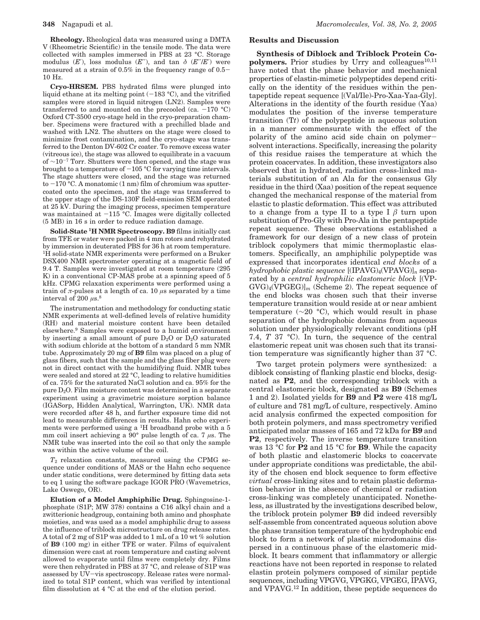**Rheology.** Rheological data was measured using a DMTA V (Rheometric Scientific) in the tensile mode. The data were collected with samples immersed in PBS at 23 °C. Storage modulus  $(E')$ , loss modulus  $(E'')$ , and tan  $\delta$   $(E''/E')$  were measured at a strain of 0.5% in the frequency range of 0.5- 10 Hz.

**Cryo-HRSEM.** PBS hydrated films were plunged into liquid ethane at its melting point  $(-183 \text{ °C})$ , and the vitrified samples were stored in liquid nitrogen (LN2). Samples were transferred to and mounted on the precooled (ca.  $-170$  °C) Oxford CT-3500 cryo-stage held in the cryo-preparation chamber. Specimens were fractured with a prechilled blade and washed with LN2. The shutters on the stage were closed to minimize frost contamination, and the cryo-stage was transferred to the Denton DV-602 Cr coater. To remove excess water (vitreous ice), the stage was allowed to equilibrate in a vacuum of  $\sim$ 10<sup>-7</sup> Torr. Shutters were then opened, and the stage was brought to a temperature of  $-105$  °C for varying time intervals. The stage shutters were closed, and the stage was returned to  $-170$  °C. A monatomic (1 nm) film of chromium was sputtercoated onto the specimen, and the stage was transferred to the upper stage of the DS-130F field-emission SEM operated at 25 kV. During the imaging process, specimen temperature was maintained at  $-115$  °C. Images were digitally collected (5 MB) in 16 s in order to reduce radiation damage.

**Solid-State 1H NMR Spectroscopy. B9** films initially cast from TFE or water were packed in 4 mm rotors and rehydrated by immersion in deuterated PBS for 36 h at room temperature. 1H solid-state NMR experiments were performed on a Bruker DSX400 NMR spectrometer operating at a magnetic field of 9.4 T. Samples were investigated at room temperature (295 K) in a conventional CP-MAS probe at a spinning speed of 5 kHz. CPMG relaxation experiments were performed using a train of *π*-pulses at a length of ca. 10 *µ*s separated by a time interval of 200  $\mu$ s.<sup>8</sup>

The instrumentation and methodology for conducting static NMR experiments at well-defined levels of relative humidity (RH) and material moisture content have been detailed elsewhere.9 Samples were exposed to a humid environment by inserting a small amount of pure  $D_2O$  or  $D_2O$  saturated with sodium chloride at the bottom of a standard 5 mm NMR tube. Approximately 20 mg of **B9** film was placed on a plug of glass fibers, such that the sample and the glass fiber plug were not in direct contact with the humidifying fluid. NMR tubes were sealed and stored at 22 °C, leading to relative humidities of ca. 75% for the saturated NaCl solution and ca. 95% for the pure D2O. Film moisture content was determined in a separate experiment using a gravimetric moisture sorption balance (IGASorp, Hidden Analytical, Warrington, UK). NMR data were recorded after 48 h, and further exposure time did not lead to measurable differences in results. Hahn echo experiments were performed using a  ${}^{1}H$  broadband probe with a 5 mm coil insert achieving a 90° pulse length of ca. 7 *µ*s. The NMR tube was inserted into the coil so that only the sample was within the active volume of the coil.

*T*<sup>2</sup> relaxation constants, measured using the CPMG sequence under conditions of MAS or the Hahn echo sequence under static conditions, were determined by fitting data sets to eq 1 using the software package IGOR PRO (Wavemetrics, Lake Oswego, OR).

**Elution of a Model Amphiphilic Drug.** Sphingosine-1 phosphate (S1P; MW 378) contains a C16 alkyl chain and a zwitterionic headgroup, containing both amino and phosphate moieties, and was used as a model amphiphilic drug to assess the influence of triblock microstructure on drug release rates. A total of 2 mg of S1P was added to 1 mL of a 10 wt % solution of **B9** (100 mg) in either TFE or water. Films of equivalent dimension were cast at room temperature and casting solvent allowed to evaporate until films were completely dry. Films were then rehydrated in PBS at 37 °C, and release of S1P was assessed by UV-vis spectroscopy. Release rates were normalized to total S1P content, which was verified by intentional film dissolution at 4 °C at the end of the elution period.

## **Results and Discussion**

**Synthesis of Diblock and Triblock Protein Co**polymers. Prior studies by Urry and colleagues<sup>10,11</sup> have noted that the phase behavior and mechanical properties of elastin-mimetic polypeptides depend critically on the identity of the residues within the pentapeptide repeat sequence [(Val/Ile)-Pro-Xaa-Yaa-Gly]. Alterations in the identity of the fourth residue (Yaa) modulates the position of the inverse temperature transition (T*t*) of the polypeptide in aqueous solution in a manner commensurate with the effect of the polarity of the amino acid side chain on polymersolvent interactions. Specifically, increasing the polarity of this residue raises the temperature at which the protein coacervates. In addition, these investigators also observed that in hydrated, radiation cross-linked materials substitution of an Ala for the consensus Gly residue in the third (Xaa) position of the repeat sequence changed the mechanical response of the material from elastic to plastic deformation. This effect was attributed to a change from a type II to a type I *â* turn upon substitution of Pro-Gly with Pro-Ala in the pentapeptide repeat sequence. These observations established a framework for our design of a new class of protein triblock copolymers that mimic thermoplastic elastomers. Specifically, an amphiphilic polypeptide was expressed that incorporates identical *end blocks* of a *hydrophobic plastic sequence*  $[(IPAVG)<sub>4</sub>(VPAVG)]<sub>n</sub>$  separated by a *central hydrophilic elastomeric block* [(VP- $GVG<sub>4</sub>(VPGEG)<sub>m</sub>$  (Scheme 2). The repeat sequence of the end blocks was chosen such that their inverse temperature transition would reside at or near ambient temperature ( $\sim$ 20 °C), which would result in phase separation of the hydrophobic domains from aqueous solution under physiologically relevant conditions (pH 7.4, *T* 37 °C). In turn, the sequence of the central elastomeric repeat unit was chosen such that its transition temperature was significantly higher than 37 °C.

Two target protein polymers were synthesized: a diblock consisting of flanking plastic end blocks, designated as **P2**, and the corresponding triblock with a central elastomeric block, designated as **B9** (Schemes 1 and 2). Isolated yields for **B9** and **P2** were 418 mg/L of culture and 781 mg/L of culture, respectively. Amino acid analysis confirmed the expected composition for both protein polymers, and mass spectrometry verified anticipated molar masses of 165 and 72 kDa for **B9** and **P2**, respectively. The inverse temperature transition was 13 °C for **P2** and 15 °C for **B9**. While the capacity of both plastic and elastomeric blocks to coacervate under appropriate conditions was predictable, the ability of the chosen end block sequence to form effective *virtual* cross-linking sites and to retain plastic deformation behavior in the absence of chemical or radiation cross-linking was completely unanticipated. Nonetheless, as illustrated by the investigations described below, the triblock protein polymer **B9** did indeed reversibly self-assemble from concentrated aqueous solution above the phase transition temperature of the hydrophobic end block to form a network of plastic microdomains dispersed in a continuous phase of the elastomeric midblock. It bears comment that inflammatory or allergic reactions have not been reported in response to related elastin protein polymers composed of similar peptide sequences, including VPGVG, VPGKG, VPGEG, IPAVG, and VPAVG.12 In addition, these peptide sequences do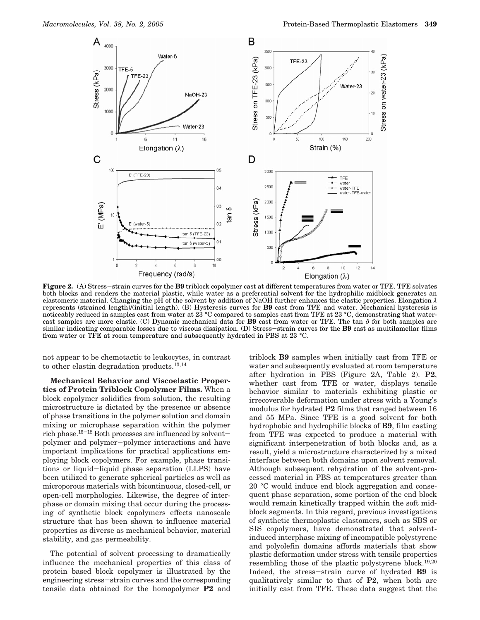

**Figure 2.** (A) Stress-strain curves for the **B9** triblock copolymer cast at different temperatures from water or TFE. TFE solvates both blocks and renders the material plastic, while water as a preferential solvent for the hydrophilic midblock generates an elastomeric material. Changing the pH of the solvent by addition of NaOH further enhances the elastic properties. Elongation *λ* represents (strained length)/(initial length). (B) Hysteresis curves for **B9** cast from TFE and water. Mechanical hysteresis is noticeably reduced in samples cast from water at 23 °C compared to samples cast from TFE at 23 °C, demonstrating that watercast samples are more elastic. (C) Dynamic mechanical data for **B9** cast from water or TFE. The tan *δ* for both samples are similar indicating comparable losses due to viscous dissipation. (D) Stress-strain curves for the **B9** cast as multilamellar films from water or TFE at room temperature and subsequently hydrated in PBS at 23 °C.

not appear to be chemotactic to leukocytes, in contrast to other elastin degradation products.13,14

**Mechanical Behavior and Viscoelastic Properties of Protein Triblock Copolymer Films.** When a block copolymer solidifies from solution, the resulting microstructure is dictated by the presence or absence of phase transitions in the polymer solution and domain mixing or microphase separation within the polymer rich phase.15-<sup>18</sup> Both processes are influenced by solventpolymer and polymer-polymer interactions and have important implications for practical applications employing block copolymers. For example, phase transitions or liquid-liquid phase separation (LLPS) have been utilized to generate spherical particles as well as microporous materials with bicontinuous, closed-cell, or open-cell morphologies. Likewise, the degree of interphase or domain mixing that occur during the processing of synthetic block copolymers effects nanoscale structure that has been shown to influence material properties as diverse as mechanical behavior, material stability, and gas permeability.

The potential of solvent processing to dramatically influence the mechanical properties of this class of protein based block copolymer is illustrated by the engineering stress-strain curves and the corresponding tensile data obtained for the homopolymer **P2** and

triblock **B9** samples when initially cast from TFE or water and subsequently evaluated at room temperature after hydration in PBS (Figure 2A, Table 2). **P2**, whether cast from TFE or water, displays tensile behavior similar to materials exhibiting plastic or irrecoverable deformation under stress with a Young's modulus for hydrated **P2** films that ranged between 16 and 55 MPa. Since TFE is a good solvent for both hydrophobic and hydrophilic blocks of **B9**, film casting from TFE was expected to produce a material with significant interpenetration of both blocks and, as a result, yield a microstructure characterized by a mixed interface between both domains upon solvent removal. Although subsequent rehydration of the solvent-processed material in PBS at temperatures greater than 20 °C would induce end block aggregation and consequent phase separation, some portion of the end block would remain kinetically trapped within the soft midblock segments. In this regard, previous investigations of synthetic thermoplastic elastomers, such as SBS or SIS copolymers, have demonstrated that solventinduced interphase mixing of incompatible polystyrene and polyolefin domains affords materials that show plastic deformation under stress with tensile properties resembling those of the plastic polystyrene block.19,20 Indeed, the stress-strain curve of hydrated **B9** is qualitatively similar to that of **P2**, when both are initially cast from TFE. These data suggest that the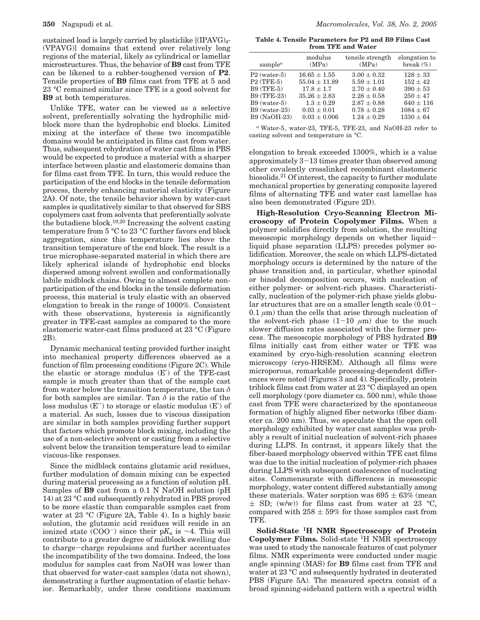sustained load is largely carried by plasticlike [(IPAVG)<sub>4</sub>-(VPAVG)] domains that extend over relatively long regions of the material, likely as cylindrical or lamellar microstructures. Thus, the behavior of **B9** cast from TFE can be likened to a rubber-toughened version of **P2**. Tensile properties of **B9** films cast from TFE at 5 and 23 °C remained similar since TFE is a good solvent for **B9** at both temperatures.

Unlike TFE, water can be viewed as a selective solvent, preferentially solvating the hydrophilic midblock more than the hydrophobic end blocks. Limited mixing at the interface of these two incompatible domains would be anticipated in films cast from water. Thus, subsequent rehydration of water cast films in PBS would be expected to produce a material with a sharper interface between plastic and elastomeric domains than for films cast from TFE. In turn, this would reduce the participation of the end blocks in the tensile deformation process, thereby enhancing material elasticity (Figure 2A**)**. Of note, the tensile behavior shown by water-cast samples is qualitatively similar to that observed for SBS copolymers cast from solvents that preferentially solvate the butadiene block.19,20 Increasing the solvent casting temperature from 5 °C to 23 °C further favors end block aggregation, since this temperature lies above the transition temperature of the end block. The result is a true microphase-separated material in which there are likely spherical islands of hydrophobic end blocks dispersed among solvent swollen and conformationally labile midblock chains. Owing to almost complete nonparticipation of the end blocks in the tensile deformation process, this material is truly elastic with an observed elongation to break in the range of 1000%. Consistent with these observations, hysteresis is significantly greater in TFE-cast samples as compared to the more elastomeric water-cast films produced at 23 °C (Figure 2B).

Dynamic mechanical testing provided further insight into mechanical property differences observed as a function of film processing conditions (Figure 2C). While the elastic or storage modulus (E′) of the TFE-cast sample is much greater than that of the sample cast from water below the transition temperature, the tan *δ* for both samples are similar. Tan *δ* is the ratio of the loss modulus (E′′) to storage or elastic modulus (E′) of a material. As such, losses due to viscous dissipation are similar in both samples providing further support that factors which promote block mixing, including the use of a non-selective solvent or casting from a selective solvent below the transition temperature lead to similar viscous-like responses.

Since the midblock contains glutamic acid residues, further modulation of domain mixing can be expected during material processing as a function of solution pH. Samples of **B9** cast from a 0.1 N NaOH solution (pH 14) at 23 °C and subsequently rehydrated in PBS proved to be more elastic than comparable samples cast from water at 23 °C (Figure 2A, Table 4). In a highly basic solution, the glutamic acid residues will reside in an ionized state (COO-) since their p*K*<sup>a</sup> is ∼4. This will contribute to a greater degree of midblock swelling due to charge-charge repulsions and further accentuates the incompatibility of the two domains. Indeed, the loss modulus for samples cast from NaOH was lower than that observed for water-cast samples (data not shown), demonstrating a further augmentation of elastic behavior. Remarkably, under these conditions maximum

**Table 4. Tensile Parameters for P2 and B9 Films Cast from TFE and Water**

| sample <sup><math>a</math></sup> | modulus<br>(MPa)  | tensile strength<br>(MPa) | elongation to<br>break $(\% )$ |
|----------------------------------|-------------------|---------------------------|--------------------------------|
| $P2$ (water-5)                   | $16.65 \pm 1.55$  | $3.00 \pm 0.32$           | $128 \pm 33$                   |
| $P2$ (TFE-5)                     | $55.04 \pm 11.89$ | $5.59 \pm 1.01$           | $152 + 42$                     |
| <b>B9 (TFE-5)</b>                | $17.8 \pm 1.7$    | $2.70 \pm 0.40$           | $390 \pm 53$                   |
| B9 (TFE-23)                      | $35.26 \pm 2.83$  | $2.28 \pm 0.58$           | $250 \pm 47$                   |
| $B9$ (water-5)                   | $1.3 \pm 0.29$    | $2.87 \pm 0.88$           | $640 \pm 116$                  |
| $B9$ (water-23)                  | $0.03 \pm 0.01$   | $0.78 \pm 0.28$           | $1084 + 67$                    |
| B9 (NaOH-23)                     | $0.03 \pm 0.006$  | $1.24 \pm 0.29$           | $1330 + 64$                    |
|                                  |                   |                           |                                |

*<sup>a</sup>* Water-5, water-23, TFE-5, TFE-23, and NaOH-23 refer to casting solvent and temperature in °C.

elongation to break exceeded 1300%, which is a value approximately 3-13 times greater than observed among other covalently crosslinked recombinant elastomeric biosolids.21 Of interest, the capacity to further modulate mechanical properties by generating composite layered films of alternating TFE and water cast lamellae has also been demonstrated (Figure 2D).

**High-Resolution Cryo-Scanning Electron Microscopy of Protein Copolymer Films.** When a polymer solidifies directly from solution, the resulting mesoscopic morphology depends on whether liquidliquid phase separation (LLPS) precedes polymer solidification. Moreover, the scale on which LLPS-dictated morphology occurs is determined by the nature of the phase transition and, in particular, whether spinodal or binodal decomposition occurs, with nucleation of either polymer- or solvent-rich phases. Characteristically, nucleation of the polymer-rich phase yields globular structures that are on a smaller length scale (0.01-  $0.1 \mu m$ ) than the cells that arise through nucleation of the solvent-rich phase  $(1-10 \mu m)$  due to the much slower diffusion rates associated with the former process. The mesoscopic morphology of PBS hydrated **B9** films initially cast from either water or TFE was examined by cryo-high-resolution scanning electron microscopy (cryo-HRSEM). Although all films were microporous, remarkable processing-dependent differences were noted (Figures 3 and 4). Specifically, protein triblock films cast from water at 23 °C displayed an open cell morphology (pore diameter ca. 500 nm), while those cast from TFE were characterized by the spontaneous formation of highly aligned fiber networks (fiber diameter ca. 200 nm). Thus, we speculate that the open cell morphology exhibited by water cast samples was probably a result of initial nucleation of solvent-rich phases during LLPS. In contrast, it appears likely that the fiber-based morphology observed within TFE cast films was due to the initial nucleation of polymer-rich phases during LLPS with subsequent coalescence of nucleating sites. Commensurate with differences in mesoscopic morphology, water content differed substantially among these materials. Water sorption was  $695 \pm 63\%$  (mean  $\pm$  SD; (w/w)) for films cast from water at 23 °C, compared with  $258 \pm 59\%$  for those samples cast from TFE.

**Solid-State 1H NMR Spectroscopy of Protein Copolymer Films.** Solid-state 1H NMR spectroscopy was used to study the nanoscale features of cast polymer films. NMR experiments were conducted under magic angle spinning (MAS) for **B9** films cast from TFE and water at 23 °C and subsequently hydrated in deuterated PBS (Figure 5A). The measured spectra consist of a broad spinning-sideband pattern with a spectral width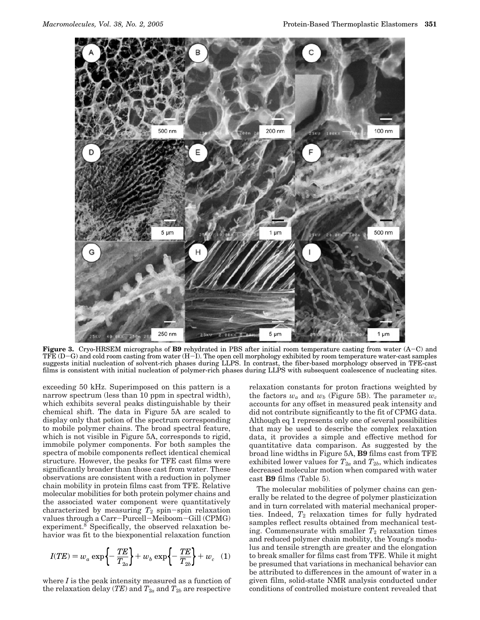

**Figure 3.** Cryo-HRSEM micrographs of **B9** rehydrated in PBS after initial room temperature casting from water (A-C) and TFE  $(D-G)$  and cold room casting from water  $(H-I)$ . The open cell morphology exhibited by room temperature water-cast samples suggests initial nucleation of solvent-rich phases during LLPS. In contrast, the fiber-based morphology observed in TFE-cast films is consistent with initial nucleation of polymer-rich phases during LLPS with subsequent coalescence of nucleating sites.

exceeding 50 kHz. Superimposed on this pattern is a narrow spectrum (less than 10 ppm in spectral width), which exhibits several peaks distinguishable by their chemical shift. The data in Figure 5A are scaled to display only that potion of the spectrum corresponding to mobile polymer chains. The broad spectral feature, which is not visible in Figure 5A, corresponds to rigid, immobile polymer components. For both samples the spectra of mobile components reflect identical chemical structure. However, the peaks for TFE cast films were significantly broader than those cast from water. These observations are consistent with a reduction in polymer chain mobility in protein films cast from TFE. Relative molecular mobilities for both protein polymer chains and the associated water component were quantitatively characterized by measuring  $T_2$  spin-spin relaxation values through a Carr-Purcell-Meiboom-Gill (CPMG) experiment.8 Specifically, the observed relaxation behavior was fit to the biexponential relaxation function

$$
I(TE) = w_a \exp\left\{-\frac{TE}{T_{2a}}\right\} + w_b \exp\left\{-\frac{TE}{T_{2b}}\right\} + w_c
$$
 (1)

where *I* is the peak intensity measured as a function of the relaxation delay (*TE*) and  $T_{2a}$  and  $T_{2b}$  are respective

relaxation constants for proton fractions weighted by the factors  $w_a$  and  $w_b$  (Figure 5B). The parameter  $w_c$ accounts for any offset in measured peak intensity and did not contribute significantly to the fit of CPMG data. Although eq 1 represents only one of several possibilities that may be used to describe the complex relaxation data, it provides a simple and effective method for quantitative data comparison. As suggested by the broad line widths in Figure 5A, **B9** films cast from TFE exhibited lower values for  $T_{2a}$  and  $T_{2b}$ , which indicates decreased molecular motion when compared with water cast **B9** films (Table 5).

The molecular mobilities of polymer chains can generally be related to the degree of polymer plasticization and in turn correlated with material mechanical properties. Indeed,  $T_2$  relaxation times for fully hydrated samples reflect results obtained from mechanical testing. Commensurate with smaller  $T_2$  relaxation times and reduced polymer chain mobility, the Young's modulus and tensile strength are greater and the elongation to break smaller for films cast from TFE. While it might be presumed that variations in mechanical behavior can be attributed to differences in the amount of water in a given film, solid-state NMR analysis conducted under conditions of controlled moisture content revealed that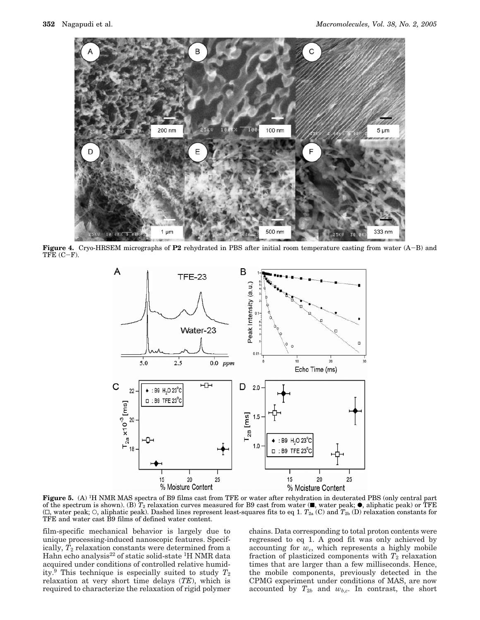

**Figure 4.** Cryo-HRSEM micrographs of **P2** rehydrated in PBS after initial room temperature casting from water (A-B) and  $TFE (C-F).$ 



**Figure 5.** (A) 1H NMR MAS spectra of B9 films cast from TFE or water after rehydration in deuterated PBS (only central part of the spectrum is shown). (B)  $T_2$  relaxation curves measured for B9 cast from water ( $\blacksquare$ , water peak;  $\bullet$ , aliphatic peak) or TFE  $(\Box)$ , water peak;  $\Diamond$ , aliphatic peak). Dashed lines represent least-squares fits to eq 1.  $T_{2a}$  (C) and  $T_{2b}$  (D) relaxation constants for TFE and water cast B9 films of defined water content.

film-specific mechanical behavior is largely due to unique processing-induced nanoscopic features. Specifically,  $T_2$  relaxation constants were determined from a Hahn echo analysis<sup>22</sup> of static solid-state <sup>1</sup>H NMR data acquired under conditions of controlled relative humidity.9 This technique is especially suited to study *T*<sup>2</sup> relaxation at very short time delays (*TE*), which is required to characterize the relaxation of rigid polymer chains. Data corresponding to total proton contents were regressed to eq 1. A good fit was only achieved by accounting for *wc*, which represents a highly mobile fraction of plasticized components with  $T_2$  relaxation times that are larger than a few milliseconds. Hence, the mobile components, previously detected in the CPMG experiment under conditions of MAS, are now accounted by  $T_{2b}$  and  $w_{b,c}$ . In contrast, the short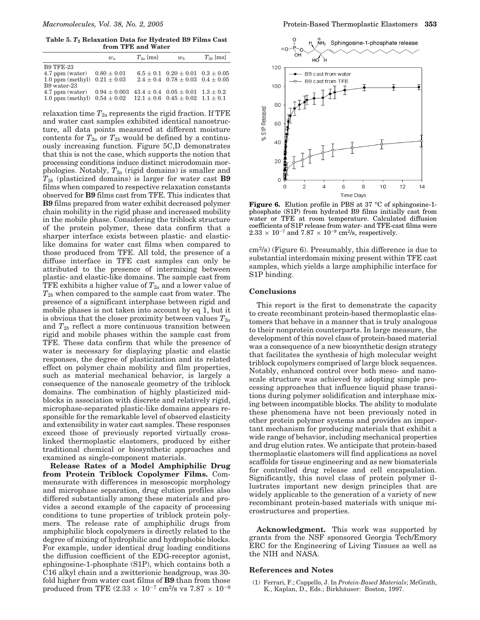**Table 5.** *T***<sup>2</sup> Relaxation Data for Hydrated B9 Films Cast from TFE and Water**

|                    | $w_a$            | $T_{2a}$ [ms] | w <sub>b</sub>                               | $T_{2h}$ [ms] |
|--------------------|------------------|---------------|----------------------------------------------|---------------|
| <b>B9 TFE-23</b>   |                  |               |                                              |               |
| 4.7 ppm (water)    | $0.80\pm0.01$    |               | $6.5 \pm 0.1$ $0.20 \pm 0.01$ $0.3 \pm 0.05$ |               |
| $1.0$ ppm (methyl) | $0.21 \pm 0.03$  |               | $2.4 \pm 0.4$ $0.78 \pm 0.03$ $0.4 \pm 0.05$ |               |
| B9 water-23        |                  |               |                                              |               |
| 4.7 ppm (water)    | $0.94 \pm 0.003$ |               | $43.4 \pm 0.4$ $0.05 \pm 0.01$ $1.3 \pm 0.2$ |               |
| $1.0$ ppm (methyl) | $0.54 \pm 0.02$  |               | $12.1 \pm 0.6$ $0.45 \pm 0.02$ $1.1 \pm 0.1$ |               |
|                    |                  |               |                                              |               |

relaxation time  $T_{2a}$  represents the rigid fraction. If TFE and water cast samples exhibited identical nanostructure, all data points measured at different moisture contents for  $T_{2a}$  or  $T_{2b}$  would be defined by a continuously increasing function. Figure 5C,D demonstrates that this is not the case, which supports the notion that processing conditions induce distinct microdomain morphologies. Notably,  $T_{2a}$  (rigid domains) is smaller and *T*2*<sup>b</sup>* (plasticized domains) is larger for water cast **B9** films when compared to respective relaxation constants observed for **B9** films cast from TFE. This indicates that **B9** films prepared from water exhibit decreased polymer chain mobility in the rigid phase and increased mobility in the mobile phase. Considering the triblock structure of the protein polymer, these data confirm that a sharper interface exists between plastic- and elasticlike domains for water cast films when compared to those produced from TFE. All told, the presence of a diffuse interface in TFE cast samples can only be attributed to the presence of intermixing between plastic- and elastic-like domains. The sample cast from TFE exhibits a higher value of  $T_{2a}$  and a lower value of *T*2*<sup>b</sup>* when compared to the sample cast from water. The presence of a significant interphase between rigid and mobile phases is not taken into account by eq  $1$ , but it is obvious that the closer proximity between values  $T_{2a}$ and *T*2*<sup>b</sup>* reflect a more continuous transition between rigid and mobile phases within the sample cast from TFE. These data confirm that while the presence of water is necessary for displaying plastic and elastic responses, the degree of plasticization and its related effect on polymer chain mobility and film properties, such as material mechanical behavior, is largely a consequence of the nanoscale geometry of the triblock domains. The combination of highly plasticized midblocks in association with discrete and relatively rigid, microphase-separated plastic-like domains appears responsible for the remarkable level of observed elasticity and extensibility in water cast samples. These responses exceed those of previously reported virtually crosslinked thermoplastic elastomers, produced by either traditional chemical or biosynthetic approaches and examined as single-component materials.

**Release Rates of a Model Amphiphilic Drug from Protein Triblock Copolymer Films.** Commensurate with differences in mesoscopic morphology and microphase separation, drug elution profiles also differed substantially among these materials and provides a second example of the capacity of processing conditions to tune properties of triblock protein polymers. The release rate of amphiphilic drugs from amphiphilic block copolymers is directly related to the degree of mixing of hydrophilic and hydrophobic blocks. For example, under identical drug loading conditions the diffusion coefficient of the EDG-receptor agonist, sphingosine-1-phosphate (S1P), which contains both a C16 alkyl chain and a zwitterionic headgroup, was 30 fold higher from water cast films of **B9** than from those produced from TFE  $(2.33 \times 10^{-7} \text{ cm}^2/\text{s} \text{ vs } 7.87 \times 10^{-9}$ 



**Figure 6.** Elution profile in PBS at 37 °C of sphingosine-1phosphate (S1P) from hydrated B9 films initially cast from water or TFE at room temperature. Calculated diffusion coefficients of S1P release from water- and TFE-cast films were  $2.33 \times 10^{-7}$  and  $7.87 \times 10^{-9}$  cm<sup>2</sup>/s, respectively.

cm2/s) (Figure 6). Presumably, this difference is due to substantial interdomain mixing present within TFE cast samples, which yields a large amphiphilic interface for S1P binding.

### **Conclusions**

This report is the first to demonstrate the capacity to create recombinant protein-based thermoplastic elastomers that behave in a manner that is truly analogous to their nonprotein counterparts. In large measure, the development of this novel class of protein-based material was a consequence of a new biosynthetic design strategy that facilitates the synthesis of high molecular weight triblock copolymers comprised of large block sequences. Notably, enhanced control over both meso- and nanoscale structure was achieved by adopting simple processing approaches that influence liquid phase transitions during polymer solidification and interphase mixing between incompatible blocks. The ability to modulate these phenomena have not been previously noted in other protein polymer systems and provides an important mechanism for producing materials that exhibit a wide range of behavior, including mechanical properties and drug elution rates. We anticipate that protein-based thermoplastic elastomers will find applications as novel scaffolds for tissue engineering and as new biomaterials for controlled drug release and cell encapsulation. Significantly, this novel class of protein polymer illustrates important new design principles that are widely applicable to the generation of a variety of new recombinant protein-based materials with unique microstructures and properties.

**Acknowledgment.** This work was supported by grants from the NSF sponsored Georgia Tech/Emory ERC for the Engineering of Living Tissues as well as the NIH and NASA.

#### **References and Notes**

(1) Ferrari, F.; Cappello, J. In *Protein-Based Materials*; McGrath, K., Kaplan, D., Eds.; Birkhäuser: Boston, 1997.